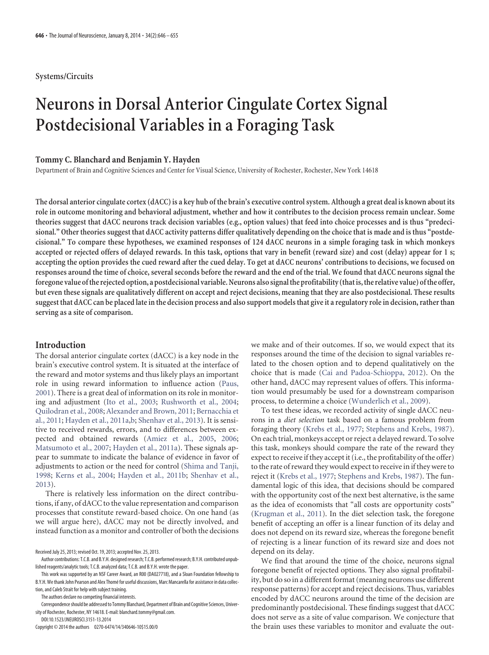# **Systems/Circuits**

# **Neurons in Dorsal Anterior Cingulate Cortex Signal Postdecisional Variables in a Foraging Task**

## **Tommy C. Blanchard and Benjamin Y. Hayden**

Department of Brain and Cognitive Sciences and Center for Visual Science, University of Rochester, Rochester, New York 14618

**The dorsal anterior cingulate cortex (dACC) is a key hub of the brain's executive control system. Although a great deal is known about its role in outcome monitoring and behavioral adjustment, whether and how it contributes to the decision process remain unclear. Some theories suggest that dACC neurons track decision variables (e.g., option values) that feed into choice processes and is thus "predecisional." Other theories suggest that dACC activity patterns differ qualitatively depending on the choice that is made and is thus "postdecisional." To compare these hypotheses, we examined responses of 124 dACC neurons in a simple foraging task in which monkeys accepted or rejected offers of delayed rewards. In this task, options that vary in benefit (reward size) and cost (delay) appear for 1 s; accepting the option provides the cued reward after the cued delay. To get at dACC neurons' contributions to decisions, we focused on responses around the time of choice, several seconds before the reward and the end of the trial. We found that dACC neurons signal the foregone value ofthe rejected option, a postdecisional variable. Neurons also signalthe profitability (thatis,the relative value) ofthe offer, but even these signals are qualitatively different on accept and reject decisions, meaning that they are also postdecisional. These results suggest that dACC can be placed late in the decision process and also support models that give it a regulatory role in decision, rather than serving as a site of comparison.**

## **Introduction**

The dorsal anterior cingulate cortex (dACC) is a key node in the brain's executive control system. It is situated at the interface of the reward and motor systems and thus likely plays an important role in using reward information to influence action [\(Paus,](#page-9-0) [2001\)](#page-9-0). There is a great deal of information on its role in monitoring and adjustment [\(Ito et al., 2003;](#page-9-1) [Rushworth et al., 2004;](#page-9-2) [Quilodran et al., 2008;](#page-9-3) [Alexander and Brown, 2011;](#page-8-0) [Bernacchia et](#page-8-1) [al., 2011;](#page-8-1) [Hayden et al., 2011a](#page-9-4)[,b;](#page-9-5) [Shenhav et al., 2013\)](#page-9-6). It is sensitive to received rewards, errors, and to differences between expected and obtained rewards [\(Amiez et al., 2005,](#page-8-2) [2006;](#page-8-3) [Matsumoto et al., 2007;](#page-9-7) [Hayden et al., 2011a\)](#page-9-4). These signals appear to summate to indicate the balance of evidence in favor of adjustments to action or the need for control [\(Shima and Tanji,](#page-9-8) [1998;](#page-9-8) [Kerns et al., 2004;](#page-9-9) [Hayden et al., 2011b;](#page-9-5) [Shenhav et al.,](#page-9-6) [2013\)](#page-9-6).

There is relatively less information on the direct contributions, if any, of dACC to the value representation and comparison processes that constitute reward-based choice. On one hand (as we will argue here), dACC may not be directly involved, and instead function as a monitor and controller of both the decisions

The authors declare no competing financial interests.

Correspondence should be addressed to Tommy Blanchard, Department of Brain and Cognitive Sciences, University of Rochester, Rochester, NY 14618. E-mail: blanchard.tommy@gmail.com.

DOI:10.1523/JNEUROSCI.3151-13.2014

Copyright © 2014 the authors 0270-6474/14/340646-10\$15.00/0

we make and of their outcomes. If so, we would expect that its responses around the time of the decision to signal variables related to the chosen option and to depend qualitatively on the choice that is made [\(Cai and Padoa-Schioppa, 2012\)](#page-8-4). On the other hand, dACC may represent values of offers. This information would presumably be used for a downstream comparison process, to determine a choice [\(Wunderlich et al., 2009\)](#page-9-10).

To test these ideas, we recorded activity of single dACC neurons in a *diet selection* task based on a famous problem from foraging theory [\(Krebs et al., 1977;](#page-9-11) [Stephens and Krebs, 1987\)](#page-9-12). On each trial, monkeys accept or reject a delayed reward. To solve this task, monkeys should compare the rate of the reward they expect to receive if they accept it (i.e., the profitability of the offer) to the rate of reward they would expect to receive in if they were to reject it [\(Krebs et al., 1977;](#page-9-11) [Stephens and Krebs, 1987\)](#page-9-12). The fundamental logic of this idea, that decisions should be compared with the opportunity cost of the next best alternative, is the same as the idea of economists that "all costs are opportunity costs" [\(Krugman et al., 2011\)](#page-9-13). In the diet selection task, the foregone benefit of accepting an offer is a linear function of its delay and does not depend on its reward size, whereas the foregone benefit of rejecting is a linear function of its reward size and does not depend on its delay.

We find that around the time of the choice, neurons signal foregone benefit of rejected options. They also signal profitability, but do so in a different format (meaning neurons use different response patterns) for accept and reject decisions. Thus, variables encoded by dACC neurons around the time of the decision are predominantly postdecisional. These findings suggest that dACC does not serve as a site of value comparison. We conjecture that the brain uses these variables to monitor and evaluate the out-

Received July 25, 2013; revised Oct. 19, 2013; accepted Nov. 25, 2013.

Author contributions: T.C.B. and B.Y.H. designed research; T.C.B. performed research; B.Y.H. contributed unpublished reagents/analytic tools; T.C.B. analyzed data; T.C.B. and B.Y.H. wrote the paper.

This work was supported by an NSF Career Award, an R00 (DA027718), and a Sloan Foundation fellowship to B.Y.H. We thank John Pearson and Alex Thomé for useful discussions, Marc Mancarella for assistance in data collection, and Caleb Strait for help with subject training.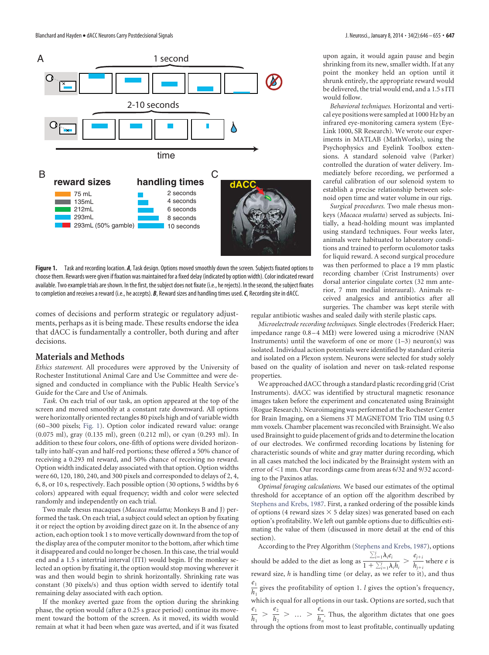

<span id="page-1-0"></span>**Figure 1.** Task and recording location. *A*, Task design. Options moved smoothly down the screen. Subjects fixated options to choose them. Rewards were given if fixation was maintained for a fixed delay (indicated by option width). Color indicated reward available. Two example trials are shown. In the first, the subject does not fixate (i.e., he rejects). In the second, the subject fixates to completion and receives a reward (i.e., he accepts). *B*, Reward sizes and handling times used.*C*, Recording site in dACC.

comes of decisions and perform strategic or regulatory adjustments, perhaps as it is being made. These results endorse the idea that dACC is fundamentally a controller, both during and after decisions.

# **Materials and Methods**

*Ethics statement.* All procedures were approved by the University of Rochester Institutional Animal Care and Use Committee and were designed and conducted in compliance with the Public Health Service's Guide for the Care and Use of Animals.

*Task.* On each trial of our task, an option appeared at the top of the screen and moved smoothly at a constant rate downward. All options were horizontally oriented rectangles 80 pixels high and of variable width (60 –300 pixels; [Fig. 1\)](#page-1-0). Option color indicated reward value: orange (0.075 ml), gray (0.135 ml), green (0.212 ml), or cyan (0.293 ml). In addition to these four colors, one-fifth of options were divided horizontally into half-cyan and half-red portions; these offered a 50% chance of receiving a 0.293 ml reward, and 50% chance of receiving no reward. Option width indicated delay associated with that option. Option widths were 60, 120, 180, 240, and 300 pixels and corresponded to delays of 2, 4, 6, 8, or 10 s, respectively. Each possible option (30 options, 5 widths by 6 colors) appeared with equal frequency; width and color were selected randomly and independently on each trial.

Two male rhesus macaques (*Macaca mulatta;* Monkeys B and J) performed the task. On each trial, a subject could select an option by fixating it or reject the option by avoiding direct gaze on it. In the absence of any action, each option took 1 s to move vertically downward from the top of the display area of the computer monitor to the bottom, after which time it disappeared and could no longer be chosen. In this case, the trial would end and a 1.5 s intertrial interval (ITI) would begin. If the monkey selected an option by fixating it, the option would stop moving wherever it was and then would begin to shrink horizontally. Shrinking rate was constant (30 pixels/s) and thus option width served to identify total remaining delay associated with each option.

If the monkey averted gaze from the option during the shrinking phase, the option would (after a 0.25 s grace period) continue its movement toward the bottom of the screen. As it moved, its width would remain at what it had been when gaze was averted, and if it was fixated upon again, it would again pause and begin shrinking from its new, smaller width. If at any point the monkey held an option until it shrunk entirely, the appropriate reward would be delivered, the trial would end, and a 1.5 s ITI would follow.

*Behavioral techniques.* Horizontal and vertical eye positions were sampled at 1000 Hz by an infrared eye-monitoring camera system (Eye-Link 1000, SR Research). We wrote our experiments in MATLAB (MathWorks), using the Psychophysics and Eyelink Toolbox extensions. A standard solenoid valve (Parker) controlled the duration of water delivery. Immediately before recording, we performed a careful calibration of our solenoid system to establish a precise relationship between solenoid open time and water volume in our rigs.

*Surgical procedures.* Two male rhesus monkeys (*Macaca mulatta*) served as subjects. Initially, a head-holding mount was implanted using standard techniques. Four weeks later, animals were habituated to laboratory conditions and trained to perform oculomotor tasks for liquid reward. A second surgical procedure was then performed to place a 19 mm plastic recording chamber (Crist Instruments) over dorsal anterior cingulate cortex (32 mm anterior, 7 mm medial interaural). Animals received analgesics and antibiotics after all surgeries. The chamber was kept sterile with

regular antibiotic washes and sealed daily with sterile plastic caps.

*Microelectrode recording techniques.* Single electrodes (Frederick Haer; impedance range  $0.8-4\ \text{M}\Omega$ ) were lowered using a microdrive (NAN Instruments) until the waveform of one or more  $(1-3)$  neuron(s) was isolated. Individual action potentials were identified by standard criteria and isolated on a Plexon system. Neurons were selected for study solely based on the quality of isolation and never on task-related response properties.

We approached dACC through a standard plastic recording grid (Crist Instruments). dACC was identified by structural magnetic resonance images taken before the experiment and concatenated using Brainsight (Rogue Research). Neuroimaging was performed at the Rochester Center for Brain Imaging, on a Siemens 3T MAGNETOM Trio TIM using 0.5 mm voxels. Chamber placement was reconciled with Brainsight. We also used Brainsight to guide placement of grids and to determine the location of our electrodes. We confirmed recording locations by listening for characteristic sounds of white and gray matter during recording, which in all cases matched the loci indicated by the Brainsight system with an error of <1 mm. Our recordings came from areas 6/32 and 9/32 according to the Paxinos atlas.

*Optimal foraging calculations.* We based our estimates of the optimal threshold for acceptance of an option off the algorithm described by [Stephens and Krebs, 1987.](#page-9-12) First, a ranked ordering of the possible kinds of options (4 reward sizes  $\times$  5 delay sizes) was generated based on each option's profitability. We left out gamble options due to difficulties estimating the value of them (discussed in more detail at the end of this section).

According to the Prey Algorithm [\(Stephens and Krebs, 1987\)](#page-9-12), options should be added to the diet as long as  $\frac{\sum_{i=1}^{i} \lambda_i e_i}{\sum_{i=1}^{i} \lambda_i}$  $\frac{\sum_{i=1}^{j} \lambda_i e_i}{1 + \sum_{i=1}^{j} \lambda_i h_i} > \frac{e_{j+i}}{h_{j+i}}$  where *e* is reward size, *h* is handling time (or delay, as we refer to it), and thus  $e_1$  $\frac{1}{h_1}$  gives the profitability of option 1. *l* gives the option's frequency, which is equal for all options in our task. Options are sorted, such that  $e_1$  $\frac{e_1}{h_1} > \frac{e_2}{h_2} > ... > \frac{e_n}{h_n}$ . Thus, the algorithm dictates that one goes through the options from most to least profitable, continually updating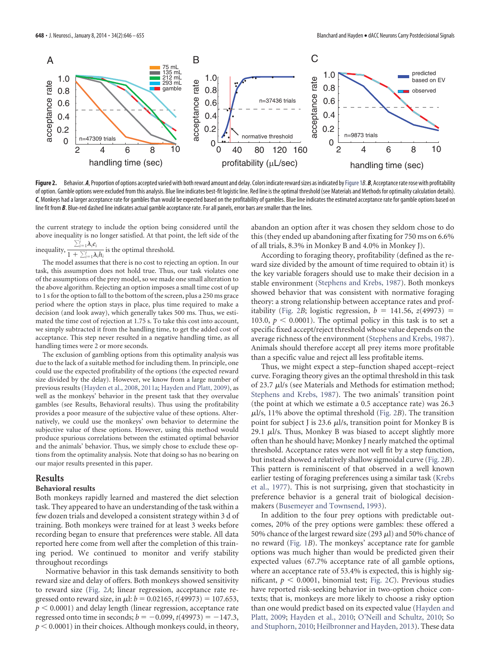

<span id="page-2-0"></span>Figure 2. Behavior. A, Proportion of options accepted varied with both reward amount and delay. Colors indicate reward sizes as indicated by Figure 1*B*. B, Acceptance rate rose with profitability of option. Gamble options were excluded from this analysis. Blue line indicates best-fit logistic line. Red line is the optimal threshold (see Materials and Methods for optimality calculation details). C, Monkeys had a larger acceptance rate for gambles than would be expected based on the profitability of gambles. Blue line indicates the estimated acceptance rate for gamble options based on line fit from *B*. Blue-red dashed line indicates actual gamble acceptance rate. For all panels, error bars are smaller than the lines.

the current strategy to include the option being considered until the above inequality is no longer satisfied. At that point, the left side of the  $\sum_{i=1}^j \lambda_i e_i$ 

inequality,  $1 + \sum_{i=1}^{j} \lambda_i h_i$ is the optimal threshold.

The model assumes that there is no cost to rejecting an option. In our task, this assumption does not hold true. Thus, our task violates one of the assumptions of the prey model, so we made one small alteration to the above algorithm. Rejecting an option imposes a small time cost of up to 1 s for the option to fall to the bottom of the screen, plus a 250 ms grace period where the option stays in place, plus time required to make a decision (and look away), which generally takes 500 ms. Thus, we estimated the time cost of rejection at 1.75 s. To take this cost into account, we simply subtracted it from the handling time, to get the added cost of acceptance. This step never resulted in a negative handling time, as all handling times were 2 or more seconds.

The exclusion of gambling options from this optimality analysis was due to the lack of a suitable method for including them. In principle, one could use the expected profitability of the options (the expected reward size divided by the delay). However, we know from a large number of previous results [\(Hayden et al., 2008,](#page-9-14) [2011a;](#page-9-4) [Hayden and Platt, 2009\)](#page-9-15), as well as the monkeys' behavior in the present task that they overvalue gambles (see Results, Behavioral results). Thus using the profitability provides a poor measure of the subjective value of these options. Alternatively, we could use the monkeys' own behavior to determine the subjective value of these options. However, using this method would produce spurious correlations between the estimated optimal behavior and the animals' behavior. Thus, we simply chose to exclude these options from the optimality analysis. Note that doing so has no bearing on our major results presented in this paper.

# **Results**

#### **Behavioral results**

Both monkeys rapidly learned and mastered the diet selection task. They appeared to have an understanding of the task within a few dozen trials and developed a consistent strategy within 3 d of training. Both monkeys were trained for at least 3 weeks before recording began to ensure that preferences were stable. All data reported here come from well after the completion of this training period. We continued to monitor and verify stability throughout recordings

Normative behavior in this task demands sensitivity to both reward size and delay of offers. Both monkeys showed sensitivity to reward size [\(Fig. 2](#page-2-0)*A*; linear regression, acceptance rate regressed onto reward size, in  $\mu$ l:  $b = 0.02165$ ,  $t(49973) = 107.653$ ,  $p < 0.0001$ ) and delay length (linear regression, acceptance rate regressed onto time in seconds;  $b = -0.099$ ,  $t(49973) = -147.3$ ,  $p < 0.0001$ ) in their choices. Although monkeys could, in theory, abandon an option after it was chosen they seldom chose to do this (they ended up abandoning after fixating for 750 ms on 6.6% of all trials, 8.3% in Monkey B and 4.0% in Monkey J).

According to foraging theory, profitability (defined as the reward size divided by the amount of time required to obtain it) is the key variable foragers should use to make their decision in a stable environment [\(Stephens and Krebs, 1987\)](#page-9-12). Both monkeys showed behavior that was consistent with normative foraging theory: a strong relationship between acceptance rates and prof-itability [\(Fig. 2](#page-2-0)*B*; logistic regression,  $b = 141.56$ ,  $z(49973) =$ 103.0,  $p < 0.0001$ ). The optimal policy in this task is to set a specific fixed accept/reject threshold whose value depends on the average richness of the environment [\(Stephens and Krebs, 1987\)](#page-9-12). Animals should therefore accept all prey items more profitable than a specific value and reject all less profitable items.

Thus, we might expect a step–function shaped accept–reject curve. Foraging theory gives an the optimal threshold in this task of 23.7  $\mu$ l/s (see Materials and Methods for estimation method; [Stephens and Krebs, 1987\)](#page-9-12). The two animals' transition point (the point at which we estimate a 0.5 acceptance rate) was 26.3  $\mu$ l/s, 11% above the optimal threshold [\(Fig. 2](#page-2-0)*B*). The transition point for subject J is 23.6  $\mu$ l/s, transition point for Monkey B is 29.1  $\mu$ l/s. Thus, Monkey B was biased to accept slightly more often than he should have; Monkey J nearly matched the optimal threshold. Acceptance rates were not well fit by a step function, but instead showed a relatively shallow sigmoidal curve [\(Fig. 2](#page-2-0)*B*). This pattern is reminiscent of that observed in a well known earlier testing of foraging preferences using a similar task [\(Krebs](#page-9-11) [et al., 1977\)](#page-9-11). This is not surprising, given that stochasticity in preference behavior is a general trait of biological decisionmakers [\(Busemeyer and Townsend, 1993\)](#page-8-5).

In addition to the four prey options with predictable outcomes, 20% of the prey options were gambles: these offered a 50% chance of the largest reward size (293  $\mu$ l) and 50% chance of no reward [\(Fig. 1](#page-1-0)*B*). The monkeys' acceptance rate for gamble options was much higher than would be predicted given their expected values (67.7% acceptance rate of all gamble options, where an acceptance rate of 53.4% is expected, this is highly significant,  $p < 0.0001$ , binomial test; [Fig. 2](#page-2-0)*C*). Previous studies have reported risk-seeking behavior in two-option choice contexts; that is, monkeys are more likely to choose a risky option than one would predict based on its expected value [\(Hayden and](#page-9-15) [Platt, 2009;](#page-9-15) [Hayden et al., 2010;](#page-9-16) [O'Neill and Schultz, 2010;](#page-9-17) [So](#page-9-18) [and Stuphorn, 2010;](#page-9-18) [Heilbronner and Hayden, 2013\)](#page-9-19). These data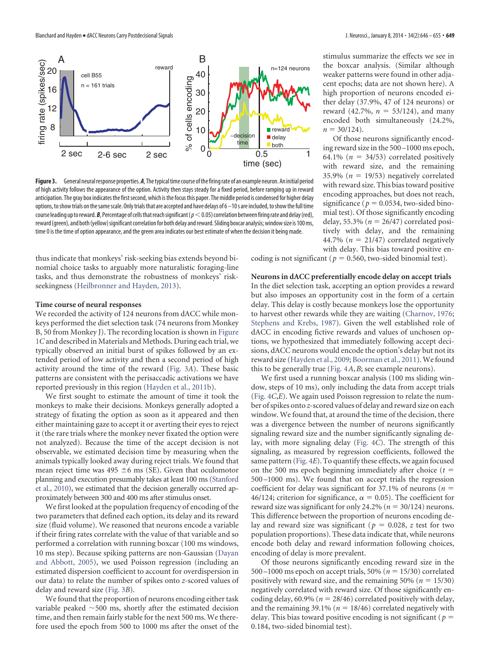

<span id="page-3-0"></span>Figure 3. General neural response properties. A, The typical time course of the firing rate of an example neuron. An initial period of high activity follows the appearance of the option. Activity then stays steady for a fixed period, before ramping up in reward anticipation. The gray box indicates the first second, which is the focus this paper. The middle period is condensed for higher delay options, to show trials on the same scale. Only trials that are accepted and have delays of 6-10 s are included, to show the full time course leading up to reward. **B**, Percentage of cells that reach significant ( $p < 0.05$ ) correlation between firing rate and delay (red), reward (green), and both (yellow) significant correlation for both delay and reward. Sliding boxcar analysis; window size is 100 ms, time 0 is the time of option appearance, and the green area indicates our best estimate of when the decision it being made.

thus indicate that monkeys' risk-seeking bias extends beyond binomial choice tasks to arguably more naturalistic foraging-line tasks, and thus demonstrate the robustness of monkeys' riskseekingness [\(Heilbronner and Hayden, 2013\)](#page-9-19).

#### **Time course of neural responses**

We recorded the activity of 124 neurons from dACC while monkeys performed the diet selection task (74 neurons from Monkey B, 50 from Monkey J). The recording location is shown in [Figure](#page-1-0) [1](#page-1-0)*C*and described in Materials and Methods. During each trial, we typically observed an initial burst of spikes followed by an extended period of low activity and then a second period of high activity around the time of the reward [\(Fig. 3](#page-3-0)*A*). These basic patterns are consistent with the perisaccadic activations we have reported previously in this region [\(Hayden et al., 2011b\)](#page-9-5).

We first sought to estimate the amount of time it took the monkeys to make their decisions. Monkeys generally adopted a strategy of fixating the option as soon as it appeared and then either maintaining gaze to accept it or averting their eyes to reject it (the rare trials where the monkey never fixated the option were not analyzed). Because the time of the accept decision is not observable, we estimated decision time by measuring when the animals typically looked away during reject trials. We found that mean reject time was 495  $\pm$ 6 ms (SE). Given that oculomotor planning and execution presumably takes at least 100 ms [\(Stanford](#page-9-20) [et al., 2010\)](#page-9-20), we estimated that the decision generally occurred approximately between 300 and 400 ms after stimulus onset.

We first looked at the population frequency of encoding of the two parameters that defined each option, its delay and its reward size (fluid volume). We reasoned that neurons encode a variable if their firing rates correlate with the value of that variable and so performed a correlation with running boxcar (100 ms windows, 10 ms step). Because spiking patterns are non-Gaussian [\(Dayan](#page-9-21) [and Abbott, 2005\)](#page-9-21), we used Poisson regression (including an estimated dispersion coefficient to account for overdispersion in our data) to relate the number of spikes onto *z*-scored values of delay and reward size [\(Fig. 3](#page-3-0)*B*).

We found that the proportion of neurons encoding either task variable peaked  $\sim$  500 ms, shortly after the estimated decision time, and then remain fairly stable for the next 500 ms. We therefore used the epoch from 500 to 1000 ms after the onset of the stimulus summarize the effects we see in the boxcar analysis. (Similar although weaker patterns were found in other adjacent epochs; data are not shown here). A high proportion of neurons encoded either delay (37.9%, 47 of 124 neurons) or reward (42.7%,  $n = 53/124$ ), and many encoded both simultaneously (24.2%,  $n = 30/124$ .

Of those neurons significantly encoding reward size in the 500 –1000 ms epoch, 64.1% ( $n = 34/53$ ) correlated positively with reward size, and the remaining 35.9% ( $n = 19/53$ ) negatively correlated with reward size. This bias toward positive encoding approaches, but does not reach, significance ( $p = 0.0534$ , two-sided binomial test). Of those significantly encoding delay, 55.3% ( $n = 26/47$ ) correlated positively with delay, and the remaining 44.7% ( $n = 21/47$ ) correlated negatively with delay. This bias toward positive en-

coding is not significant ( $p = 0.560$ , two-sided binomial test).

#### **Neurons in dACC preferentially encode delay on accept trials**

In the diet selection task, accepting an option provides a reward but also imposes an opportunity cost in the form of a certain delay. This delay is costly because monkeys lose the opportunity to harvest other rewards while they are waiting [\(Charnov, 1976;](#page-9-22) [Stephens and Krebs, 1987\)](#page-9-12). Given the well established role of dACC in encoding fictive rewards and values of unchosen options, we hypothesized that immediately following accept decisions, dACC neurons would encode the option's delay but not its reward size [\(Hayden et al., 2009;](#page-9-23) [Boorman et al., 2011\)](#page-8-6). We found this to be generally true [\(Fig. 4](#page-4-0)*A*,*B*; see example neurons).

We first used a running boxcar analysis (100 ms sliding window, steps of 10 ms), only including the data from accept trials [\(Fig. 4](#page-4-0)*C*,*E*). We again used Poisson regression to relate the number of spikes onto *z*-scored values of delay and reward size on each window. We found that, at around the time of the decision, there was a divergence between the number of neurons significantly signaling reward size and the number significantly signaling delay, with more signaling delay [\(Fig. 4](#page-4-0)*C*). The strength of this signaling, as measured by regression coefficients, followed the same pattern [\(Fig. 4](#page-4-0)*E*). To quantify these effects, we again focused on the 500 ms epoch beginning immediately after choice (*t* 500 –1000 ms). We found that on accept trials the regression coefficient for delay was significant for 37.1% of neurons (*n* 46/124; criterion for significance,  $\alpha = 0.05$ ). The coefficient for reward size was significant for only 24.2% ( $n = 30/124$ ) neurons. This difference between the proportion of neurons encoding delay and reward size was significant ( $p = 0.028$ , *z* test for two population proportions). These data indicate that, while neurons encode both delay and reward information following choices, encoding of delay is more prevalent.

Of those neurons significantly encoding reward size in the 500 $-1000$  ms epoch on accept trials, 50% ( $n = 15/30$ ) correlated positively with reward size, and the remaining  $50\%$  ( $n = 15/30$ ) negatively correlated with reward size. Of those significantly encoding delay, 60.9% ( $n = 28/46$ ) correlated positively with delay, and the remaining 39.1% ( $n = 18/46$ ) correlated negatively with delay. This bias toward positive encoding is not significant (*p* 0.184, two-sided binomial test).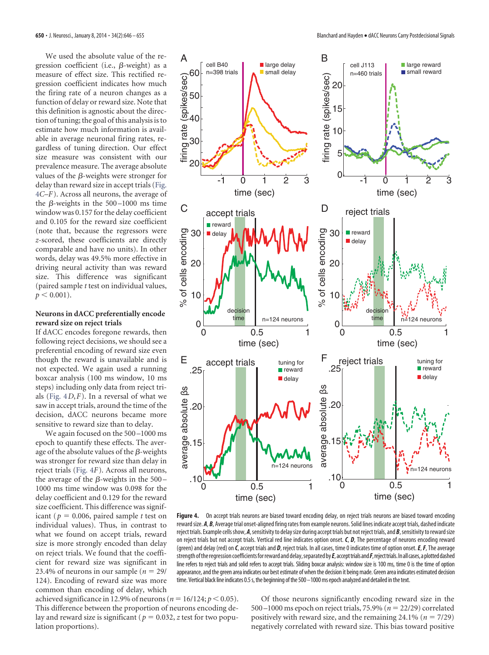We used the absolute value of the regression coefficient (i.e.,  $\beta$ -weight) as a measure of effect size. This rectified regression coefficient indicates how much the firing rate of a neuron changes as a function of delay or reward size. Note that this definition is agnostic about the direction of tuning; the goal of this analysis is to estimate how much information is available in average neuronal firing rates, regardless of tuning direction. Our effect size measure was consistent with our prevalence measure. The average absolute values of the  $\beta$ -weights were stronger for delay than reward size in accept trials [\(Fig.](#page-4-0) [4](#page-4-0)*C*–*F*). Across all neurons, the average of the  $\beta$ -weights in the 500–1000 ms time window was 0.157 for the delay coefficient and 0.105 for the reward size coefficient (note that, because the regressors were *z*-scored, these coefficients are directly comparable and have no units). In other words, delay was 49.5% more effective in driving neural activity than was reward size. This difference was significant (paired sample *t* test on individual values,  $p < 0.001$ ).

#### **Neurons in dACC preferentially encode reward size on reject trials**

If dACC encodes foregone rewards, then following reject decisions, we should see a preferential encoding of reward size even though the reward is unavailable and is not expected. We again used a running boxcar analysis (100 ms window, 10 ms steps) including only data from reject trials [\(Fig. 4](#page-4-0)*D*,*F*). In a reversal of what we saw in accept trials, around the time of the decision, dACC neurons became more sensitive to reward size than to delay.

We again focused on the 500-1000 ms epoch to quantify these effects. The average of the absolute values of the  $\beta$ -weights was stronger for reward size than delay in reject trials [\(Fig. 4](#page-4-0)*F*). Across all neurons, the average of the  $\beta$ -weights in the 500 – 1000 ms time window was 0.098 for the delay coefficient and 0.129 for the reward size coefficient. This difference was significant ( $p = 0.006$ , paired sample *t* test on individual values). Thus, in contrast to what we found on accept trials, reward size is more strongly encoded than delay on reject trials. We found that the coefficient for reward size was significant in 23.4% of neurons in our sample  $(n = 29)$ 124). Encoding of reward size was more common than encoding of delay, which



<span id="page-4-0"></span>Figure 4. On accept trials neurons are biased toward encoding delay, on reject trials neurons are biased toward encoding reward size. A, B, Average trial onset-aligned firing rates from example neurons. Solid lines indicate accept trials, dashed indicate reject trials. Example cells show, *A*, sensitivity to delay size during accept trials but not reject trials, and *B*, sensitivity to reward size on reject trials but not accept trials. Vertical red line indicates option onset. *C*, *D*, The percentage of neurons encoding reward (green) and delay (red) on *C*, accept trials and *D*, reject trials. In all cases, time 0 indicates time of option onset.*E*,*F*, The average strength oftheregression coefficientsforreward anddelay,separatedby*E*, accepttrialsand*F*,rejecttrials.Inall cases,aplotteddashed line refers to reject trials and solid refers to accept trials. Sliding boxcar analysis: window size is 100 ms, time 0 is the time of option appearance, and the green area indicates our best estimate of when the decision it being made. Green area indicates estimated decision time. Vertical black line indicates 0.5 s, the beginning of the 500 -1000 ms epoch analyzed and detailed in the text.

achieved significance in 12.9% of neurons ( $n = 16/124$ ;  $p < 0.05$ ). This difference between the proportion of neurons encoding delay and reward size is significant ( $p = 0.032$ , *z* test for two population proportions).

Of those neurons significantly encoding reward size in the 500 –1000 ms epoch on reject trials, 75.9% ( $n = 22/29$ ) correlated positively with reward size, and the remaining  $24.1\%$  ( $n = 7/29$ ) negatively correlated with reward size. This bias toward positive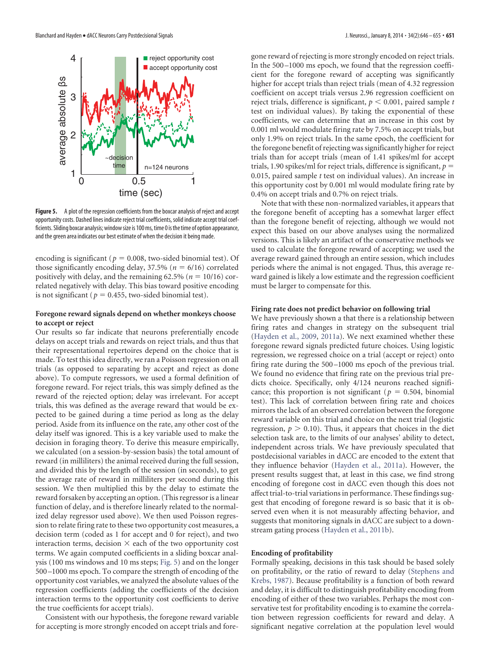

<span id="page-5-0"></span>**Figure 5.** A plot of the regression coefficients from the boxcar analysis of reject and accept opportunity costs. Dashed lines indicate reject trial coefficients, solid indicate accept trial coefficients. Sliding boxcar analysis; window size is 100 ms, time 0 is the time of option appearance, and the green area indicates our best estimate of when the decision it being made.

encoding is significant ( $p = 0.008$ , two-sided binomial test). Of those significantly encoding delay,  $37.5\%$  ( $n = 6/16$ ) correlated positively with delay, and the remaining  $62.5\%$  ( $n = 10/16$ ) correlated negatively with delay. This bias toward positive encoding is not significant ( $p = 0.455$ , two-sided binomial test).

## **Foregone reward signals depend on whether monkeys choose to accept or reject**

Our results so far indicate that neurons preferentially encode delays on accept trials and rewards on reject trials, and thus that their representational repertoires depend on the choice that is made. To test this idea directly, we ran a Poisson regression on all trials (as opposed to separating by accept and reject as done above). To compute regressors, we used a formal definition of foregone reward. For reject trials, this was simply defined as the reward of the rejected option; delay was irrelevant. For accept trials, this was defined as the average reward that would be expected to be gained during a time period as long as the delay period. Aside from its influence on the rate, any other cost of the delay itself was ignored. This is a key variable used to make the decision in foraging theory. To derive this measure empirically, we calculated (on a session-by-session basis) the total amount of reward (in milliliters) the animal received during the full session, and divided this by the length of the session (in seconds), to get the average rate of reward in milliliters per second during this session. We then multiplied this by the delay to estimate the reward forsaken by accepting an option. (This regressor is a linear function of delay, and is therefore linearly related to the normalized delay regressor used above). We then used Poisson regression to relate firing rate to these two opportunity cost measures, a decision term (coded as 1 for accept and 0 for reject), and two interaction terms, decision  $\times$  each of the two opportunity cost terms. We again computed coefficients in a sliding boxcar analysis (100 ms windows and 10 ms steps; [Fig. 5\)](#page-5-0) and on the longer 500 –1000 ms epoch. To compare the strength of encoding of the opportunity cost variables, we analyzed the absolute values of the regression coefficients (adding the coefficients of the decision interaction terms to the opportunity cost coefficients to derive the true coefficients for accept trials).

Consistent with our hypothesis, the foregone reward variable for accepting is more strongly encoded on accept trials and foregone reward of rejecting is more strongly encoded on reject trials. In the 500 –1000 ms epoch, we found that the regression coefficient for the foregone reward of accepting was significantly higher for accept trials than reject trials (mean of 4.32 regression coefficient on accept trials versus 2.96 regression coefficient on reject trials, difference is significant,  $p < 0.001$ , paired sample *t* test on individual values). By taking the exponential of these coefficients, we can determine that an increase in this cost by 0.001 ml would modulate firing rate by 7.5% on accept trials, but only 1.9% on reject trials. In the same epoch, the coefficient for the foregone benefit of rejecting was significantly higher for reject trials than for accept trials (mean of 1.41 spikes/ml for accept trials, 1.90 spikes/ml for reject trials, difference is significant,  $p =$ 0.015, paired sample *t* test on individual values). An increase in this opportunity cost by 0.001 ml would modulate firing rate by 0.4% on accept trials and 0.7% on reject trials.

Note that with these non-normalized variables, it appears that the foregone benefit of accepting has a somewhat larger effect than the foregone benefit of rejecting, although we would not expect this based on our above analyses using the normalized versions. This is likely an artifact of the conservative methods we used to calculate the foregone reward of accepting; we used the average reward gained through an entire session, which includes periods where the animal is not engaged. Thus, this average reward gained is likely a low estimate and the regression coefficient must be larger to compensate for this.

#### **Firing rate does not predict behavior on following trial**

We have previously shown a that there is a relationship between firing rates and changes in strategy on the subsequent trial [\(Hayden et al., 2009,](#page-9-23) [2011a\)](#page-9-4). We next examined whether these foregone reward signals predicted future choices. Using logistic regression, we regressed choice on a trial (accept or reject) onto firing rate during the 500 –1000 ms epoch of the previous trial. We found no evidence that firing rate on the previous trial predicts choice. Specifically, only 4/124 neurons reached significance; this proportion is not significant ( $p = 0.504$ , binomial test). This lack of correlation between firing rate and choices mirrors the lack of an observed correlation between the foregone reward variable on this trial and choice on the next trial (logistic regression,  $p > 0.10$ ). Thus, it appears that choices in the diet selection task are, to the limits of our analyses' ability to detect, independent across trials. We have previously speculated that postdecisional variables in dACC are encoded to the extent that they influence behavior [\(Hayden et al., 2011a\)](#page-9-4). However, the present results suggest that, at least in this case, we find strong encoding of foregone cost in dACC even though this does not affect trial-to-trial variations in performance. These findings suggest that encoding of foregone reward is so basic that it is observed even when it is not measurably affecting behavior, and suggests that monitoring signals in dACC are subject to a downstream gating process [\(Hayden et al., 2011b\)](#page-9-5).

#### **Encoding of profitability**

Formally speaking, decisions in this task should be based solely on profitability, or the ratio of reward to delay [\(Stephens and](#page-9-12) [Krebs, 1987\)](#page-9-12). Because profitability is a function of both reward and delay, it is difficult to distinguish profitability encoding from encoding of either of these two variables. Perhaps the most conservative test for profitability encoding is to examine the correlation between regression coefficients for reward and delay. A significant negative correlation at the population level would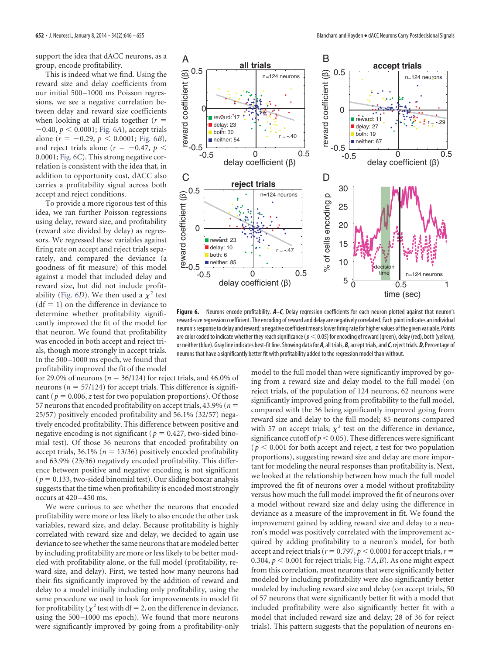support the idea that dACC neurons, as a group, encode profitability.

This is indeed what we find. Using the reward size and delay coefficients from our initial 500 –1000 ms Poisson regressions, we see a negative correlation between delay and reward size coefficients when looking at all trials together (*r*  $-0.40, p < 0.0001$ ; [Fig. 6](#page-6-0)*A*), accept trials alone  $(r = -0.29, p < 0.0001;$  [Fig. 6](#page-6-0)*B*), and reject trials alone ( $r = -0.47$ ,  $p <$ 0.0001; [Fig. 6](#page-6-0)*C*). This strong negative correlation is consistent with the idea that, in addition to opportunity cost, dACC also carries a profitability signal across both accept and reject conditions.

To provide a more rigorous test of this idea, we ran further Poisson regressions using delay, reward size, and profitability (reward size divided by delay) as regressors. We regressed these variables against firing rate on accept and reject trials separately, and compared the deviance (a goodness of fit measure) of this model against a model that included delay and reward size, but did not include profit-ability [\(Fig. 6](#page-6-0)*D*). We then used a  $\chi^2$  test  $(df = 1)$  on the difference in deviance to determine whether profitability significantly improved the fit of the model for that neuron. We found that profitability was encoded in both accept and reject trials, though more strongly in accept trials. In the 500 –1000 ms epoch, we found that profitability improved the fit of the model

for 29.0% of neurons ( $n = 36/124$ ) for reject trials, and 46.0% of neurons ( $n = 57/124$ ) for accept trials. This difference is significant ( $p = 0.006$ , *z* test for two population proportions). Of those 57 neurons that encoded profitability on accept trials, 43.9% (*n* 25/57) positively encoded profitability and 56.1% (32/57) negatively encoded profitability. This difference between positive and negative encoding is not significant ( $p = 0.427$ , two-sided binomial test). Of those 36 neurons that encoded profitability on accept trials,  $36.1\%$  ( $n = 13/36$ ) positively encoded profitability and 63.9% (23/36) negatively encoded profitability. This difference between positive and negative encoding is not significant  $(p = 0.133$ , two-sided binomial test). Our sliding boxcar analysis suggests that the time when profitability is encoded most strongly occurs at  $420 - 450$  ms.

We were curious to see whether the neurons that encoded profitability were more or less likely to also encode the other task variables, reward size, and delay. Because profitability is highly correlated with reward size and delay, we decided to again use deviance to see whether the same neurons that are modeled better by including profitability are more or less likely to be better modeled with profitability alone, or the full model (profitability, reward size, and delay). First, we tested how many neurons had their fits significantly improved by the addition of reward and delay to a model initially including only profitability, using the same procedure we used to look for improvements in model fit for profitability ( $\chi^2$  test with df = 2, on the difference in deviance, using the 500 –1000 ms epoch). We found that more neurons were significantly improved by going from a profitability-only



<span id="page-6-0"></span>**Figure 6.** Neurons encode profitability. *A–C*, Delay regression coefficients for each neuron plotted against that neuron's reward-size regression coefficient. The encoding of reward and delay are negatively correlated. Each point indicates an individual neuron's response to delay and reward; a negative coefficient means lower firing rate for higher values of the given variable. Points are color coded to indicate whether they reach significance ( $p<$  0.05) for encoding of reward (green), delay (red), both (yellow), or neither (blue). Gray line indicates best-fit line. Showing data for *A*, all trials, *B*, accept trials, and*C*, reject trials. *D*, Percentage of neurons that have a significantly better fit with profitability added to the regression model than without.

model to the full model than were significantly improved by going from a reward size and delay model to the full model (on reject trials, of the population of 124 neurons, 62 neurons were significantly improved going from profitability to the full model, compared with the 36 being significantly improved going from reward size and delay to the full model; 85 neurons compared with 57 on accept trials;  $\chi^2$  test on the difference in deviance, significance cutoff of  $p < 0.05$ ). These differences were significant  $(p < 0.001$  for both accept and reject, *z* test for two population proportions), suggesting reward size and delay are more important for modeling the neural responses than profitability is. Next, we looked at the relationship between how much the full model improved the fit of neurons over a model without profitability versus how much the full model improved the fit of neurons over a model without reward size and delay using the difference in deviance as a measure of the improvement in fit. We found the improvement gained by adding reward size and delay to a neuron's model was positively correlated with the improvement acquired by adding profitability to a neuron's model, for both accept and reject trials ( $r = 0.797$ ,  $p < 0.0001$  for accept trials,  $r =$ 0.304,  $p < 0.001$  for reject trials; [Fig. 7](#page-7-0)A, B). As one might expect from this correlation, most neurons that were significantly better modeled by including profitability were also significantly better modeled by including reward size and delay (on accept trials, 50 of 57 neurons that were significantly better fit with a model that included profitability were also significantly better fit with a model that included reward size and delay; 28 of 36 for reject trials). This pattern suggests that the population of neurons en-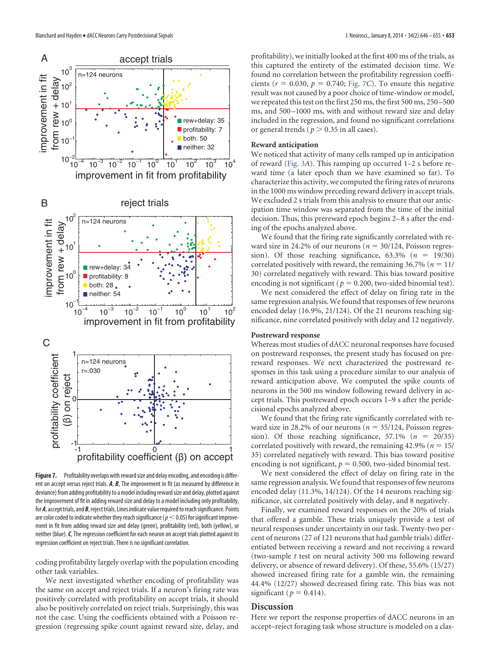

<span id="page-7-0"></span>Figure 7. Profitability overlaps with reward size and delay encoding, and encoding is different on accept versus reject trials. *A*, *B*, The improvement in fit (as measured by difference in deviance) from adding profitability to a model including reward size and delay, plotted against the improvement of fit in adding reward size and delay to a model including only profitability, for *A*, accept trials, and *B*, reject trials. Lines indicate value required to reach significance. Points are color coded to indicate whether they reach significance ( $p<$  0.05) for significant improvement in fit from adding reward size and delay (green), profitability (red), both (yellow), or neither (blue).*C*, The regression coefficient for each neuron on accept trials plotted against its regression coefficient on reject trials. There is no significant correlation.

coding profitability largely overlap with the population encoding other task variables.

We next investigated whether encoding of profitability was the same on accept and reject trials. If a neuron's firing rate was positively correlated with profitability on accept trials, it should also be positively correlated on reject trials. Surprisingly, this was not the case. Using the coefficients obtained with a Poisson regression (regressing spike count against reward size, delay, and profitability), we initially looked at the first 400 ms of the trials, as this captured the entirety of the estimated decision time. We found no correlation between the profitability regression coefficients ( $r = 0.030$ ,  $p = 0.740$ ; [Fig. 7](#page-7-0)*C*). To ensure this negative result was not caused by a poor choice of time-window or model, we repeated this test on the first 250 ms, the first 500 ms, 250 –500 ms, and 500 –1000 ms, with and without reward size and delay included in the regression, and found no significant correlations or general trends ( $p > 0.35$  in all cases).

#### **Reward anticipation**

We noticed that activity of many cells ramped up in anticipation of reward [\(Fig. 3](#page-3-0)*A*). This ramping up occurred 1–2 s before reward time (a later epoch than we have examined so far). To characterize this activity, we computed the firing rates of neurons in the 1000 ms window preceding reward delivery in accept trials. We excluded 2 s trials from this analysis to ensure that our anticipation time window was separated from the time of the initial decision. Thus, this prereward epoch begins 2–8 s after the ending of the epochs analyzed above.

We found that the firing rate significantly correlated with reward size in 24.2% of our neurons ( $n = 30/124$ , Poisson regression). Of those reaching significance,  $63.3\%$  ( $n = 19/30$ ) correlated positively with reward, the remaining  $36.7\%$  ( $n = 11$ / 30) correlated negatively with reward. This bias toward positive encoding is not significant ( $p = 0.200$ , two-sided binomial test).

We next considered the effect of delay on firing rate in the same regression analysis.We found that responses of few neurons encoded delay (16.9%, 21/124). Of the 21 neurons reaching significance, nine correlated positively with delay and 12 negatively.

## **Postreward response**

Whereas most studies of dACC neuronal responses have focused on postreward responses, the present study has focused on prereward responses. We next characterized the postreward responses in this task using a procedure similar to our analysis of reward anticipation above. We computed the spike counts of neurons in the 500 ms window following reward delivery in accept trials. This postreward epoch occurs 1–9 s after the peridecisional epochs analyzed above.

We found that the firing rate significantly correlated with reward size in 28.2% of our neurons ( $n = 35/124$ , Poisson regression). Of those reaching significance,  $57.1\%$  ( $n = 20/35$ ) correlated positively with reward, the remaining  $42.9\%$  ( $n = 15/$ 35) correlated negatively with reward. This bias toward positive encoding is not significant,  $p = 0.500$ , two-sided binomial test.

We next considered the effect of delay on firing rate in the same regression analysis.We found that responses of few neurons encoded delay (11.3%, 14/124). Of the 14 neurons reaching significance, six correlated positively with delay, and 8 negatively.

Finally, we examined reward responses on the 20% of trials that offered a gamble. These trials uniquely provide a test of neural responses under uncertainty in our task. Twenty-two percent of neurons (27 of 121 neurons that had gamble trials) differentiated between receiving a reward and not receiving a reward (two-sample *t* test on neural activity 500 ms following reward delivery, or absence of reward delivery). Of these, 55.6% (15/27) showed increased firing rate for a gamble win, the remaining 44.4% (12/27) showed decreased firing rate. This bias was not significant ( $p = 0.414$ ).

#### **Discussion**

Here we report the response properties of dACC neurons in an accept–reject foraging task whose structure is modeled on a clas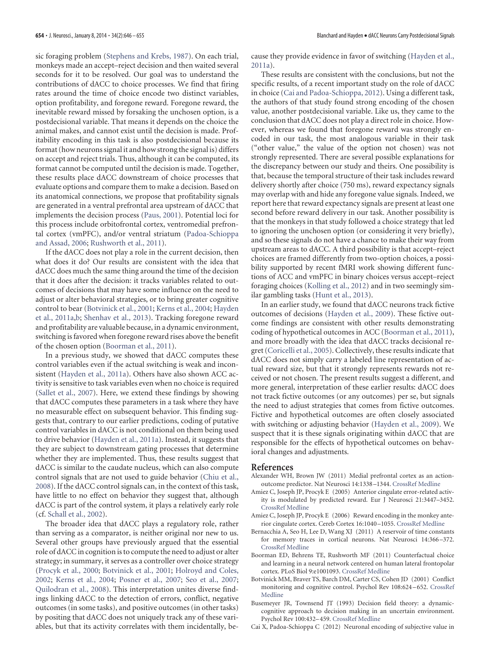sic foraging problem [\(Stephens and Krebs, 1987\)](#page-9-12). On each trial, monkeys made an accept–reject decision and then waited several seconds for it to be resolved. Our goal was to understand the contributions of dACC to choice processes. We find that firing rates around the time of choice encode two distinct variables, option profitability, and foregone reward. Foregone reward, the inevitable reward missed by forsaking the unchosen option, is a postdecisional variable. That means it depends on the choice the animal makes, and cannot exist until the decision is made. Profitability encoding in this task is also postdecisional because its format (how neurons signal it and how strong the signal is) differs on accept and reject trials. Thus, although it can be computed, its format cannot be computed until the decision is made. Together, these results place dACC downstream of choice processes that evaluate options and compare them to make a decision. Based on its anatomical connections, we propose that profitability signals are generated in a ventral prefrontal area upstream of dACC that implements the decision process [\(Paus, 2001\)](#page-9-0). Potential loci for this process include orbitofrontal cortex, ventromedial prefrontal cortex (vmPFC), and/or ventral striatum [\(Padoa-Schioppa](#page-9-24) [and Assad, 2006;](#page-9-24) [Rushworth et al., 2011\)](#page-9-25).

If the dACC does not play a role in the current decision, then what does it do? Our results are consistent with the idea that dACC does much the same thing around the time of the decision that it does after the decision: it tracks variables related to outcomes of decisions that may have some influence on the need to adjust or alter behavioral strategies, or to bring greater cognitive control to bear [\(Botvinick et al., 2001;](#page-8-7) [Kerns et al., 2004;](#page-9-9) [Hayden](#page-9-4) [et al., 2011a](#page-9-4)[,b;](#page-9-5) [Shenhav et al., 2013\)](#page-9-6). Tracking foregone reward and profitability are valuable because, in a dynamic environment, switching is favored when foregone reward rises above the benefit of the chosen option [\(Boorman et al., 2011\)](#page-8-6).

In a previous study, we showed that dACC computes these control variables even if the actual switching is weak and inconsistent [\(Hayden et al., 2011a\)](#page-9-4). Others have also shown ACC activity is sensitive to task variables even when no choice is required [\(Sallet et al., 2007\)](#page-9-26). Here, we extend these findings by showing that dACC computes these parameters in a task where they have no measurable effect on subsequent behavior. This finding suggests that, contrary to our earlier predictions, coding of putative control variables in dACC is not conditional on them being used to drive behavior [\(Hayden et al., 2011a\)](#page-9-4). Instead, it suggests that they are subject to downstream gating processes that determine whether they are implemented. Thus, these results suggest that dACC is similar to the caudate nucleus, which can also compute control signals that are not used to guide behavior [\(Chiu et al.,](#page-9-27) [2008\)](#page-9-27). If the dACC control signals can, in the context of this task, have little to no effect on behavior they suggest that, although dACC is part of the control system, it plays a relatively early role (cf. [Schall et al., 2002\)](#page-9-28).

The broader idea that dACC plays a regulatory role, rather than serving as a comparator, is neither original nor new to us. Several other groups have previously argued that the essential role of dACC in cognition is to compute the need to adjust or alter strategy; in summary, it serves as a controller over choice strategy [\(Procyk et al., 2000;](#page-9-29) [Botvinick et al., 2001;](#page-8-7) [Holroyd and Coles,](#page-9-30) [2002;](#page-9-30) [Kerns et al., 2004;](#page-9-9) [Posner et al., 2007;](#page-9-31) [Seo et al., 2007;](#page-9-32) [Quilodran et al., 2008\)](#page-9-3). This interpretation unites diverse findings linking dACC to the detection of errors, conflict, negative outcomes (in some tasks), and positive outcomes (in other tasks) by positing that dACC does not uniquely track any of these variables, but that its activity correlates with them incidentally, because they provide evidence in favor of switching [\(Hayden et al.,](#page-9-4) [2011a\)](#page-9-4).

These results are consistent with the conclusions, but not the specific results, of a recent important study on the role of dACC in choice [\(Cai and Padoa-Schioppa, 2012\)](#page-8-4). Using a different task, the authors of that study found strong encoding of the chosen value, another postdecisional variable. Like us, they came to the conclusion that dACC does not play a direct role in choice. However, whereas we found that foregone reward was strongly encoded in our task, the most analogous variable in their task ("other value," the value of the option not chosen) was not strongly represented. There are several possible explanations for the discrepancy between our study and theirs. One possibility is that, because the temporal structure of their task includes reward delivery shortly after choice (750 ms), reward expectancy signals may overlap with and hide any foregone value signals. Indeed, we report here that reward expectancy signals are present at least one second before reward delivery in our task. Another possibility is that the monkeys in that study followed a choice strategy that led to ignoring the unchosen option (or considering it very briefly), and so these signals do not have a chance to make their way from upstream areas to dACC. A third possibility is that accept–reject choices are framed differently from two-option choices, a possibility supported by recent fMRI work showing different functions of ACC and vmPFC in binary choices versus accept–reject foraging choices [\(Kolling et al., 2012\)](#page-9-33) and in two seemingly similar gambling tasks [\(Hunt et al., 2013\)](#page-9-34).

In an earlier study, we found that dACC neurons track fictive outcomes of decisions [\(Hayden et al., 2009\)](#page-9-23). These fictive outcome findings are consistent with other results demonstrating coding of hypothetical outcomes in ACC [\(Boorman et al., 2011\)](#page-8-6), and more broadly with the idea that dACC tracks decisional regret [\(Coricelli et al., 2005\)](#page-9-35). Collectively, these results indicate that dACC does not simply carry a labeled line representation of actual reward size, but that it strongly represents rewards not received or not chosen. The present results suggest a different, and more general, interpretation of these earlier results: dACC does not track fictive outcomes (or any outcomes) per se, but signals the need to adjust strategies that comes from fictive outcomes. Fictive and hypothetical outcomes are often closely associated with switching or adjusting behavior [\(Hayden et al., 2009\)](#page-9-23). We suspect that it is these signals originating within dACC that are responsible for the effects of hypothetical outcomes on behavioral changes and adjustments.

#### <span id="page-8-0"></span>**References**

- Alexander WH, Brown JW (2011) Medial prefrontal cortex as an actionoutcome predictor. Nat Neurosci 14:1338 –1344. [CrossRef](http://dx.doi.org/10.1038/nn.2921) [Medline](http://www.ncbi.nlm.nih.gov/pubmed/21926982)
- <span id="page-8-2"></span>Amiez C, Joseph JP, Procyk E (2005) Anterior cingulate error-related activity is modulated by predicted reward. Eur J Neurosci 21:3447–3452. [CrossRef](http://dx.doi.org/10.1111/j.1460-9568.2005.04170.x) [Medline](http://www.ncbi.nlm.nih.gov/pubmed/16026482)
- <span id="page-8-3"></span>Amiez C, Joseph JP, Procyk E (2006) Reward encoding in the monkey anterior cingulate cortex. Cereb Cortex 16:1040 –1055. [CrossRef](http://dx.doi.org/10.1093/cercor/bhj046) [Medline](http://www.ncbi.nlm.nih.gov/pubmed/16207931)
- <span id="page-8-1"></span>Bernacchia A, Seo H, Lee D, Wang XJ (2011) A reservoir of time constants for memory traces in cortical neurons. Nat Neurosci 14:366 –372. [CrossRef](http://dx.doi.org/10.1038/nn.2752) [Medline](http://www.ncbi.nlm.nih.gov/pubmed/21317906)
- <span id="page-8-6"></span>Boorman ED, Behrens TE, Rushworth MF (2011) Counterfactual choice and learning in a neural network centered on human lateral frontopolar cortex. PLoS Biol 9:e1001093. [CrossRef](http://dx.doi.org/10.1371/journal.pbio.1001093) [Medline](http://www.ncbi.nlm.nih.gov/pubmed/21738446)
- <span id="page-8-7"></span>Botvinick MM, Braver TS, Barch DM, Carter CS, Cohen JD (2001) Conflict monitoring and cognitive control. Psychol Rev 108:624 –652. [CrossRef](http://dx.doi.org/10.1037/0033-295X.108.3.624) [Medline](http://www.ncbi.nlm.nih.gov/pubmed/11488380)
- <span id="page-8-5"></span>Busemeyer JR, Townsend JT (1993) Decision field theory: a dynamiccognitive approach to decision making in an uncertain environment. Psychol Rev 100:432–459. [CrossRef](http://dx.doi.org/10.1037/0033-295X.100.3.432) [Medline](http://www.ncbi.nlm.nih.gov/pubmed/8356185)
- <span id="page-8-4"></span>Cai X, Padoa-Schioppa C (2012) Neuronal encoding of subjective value in